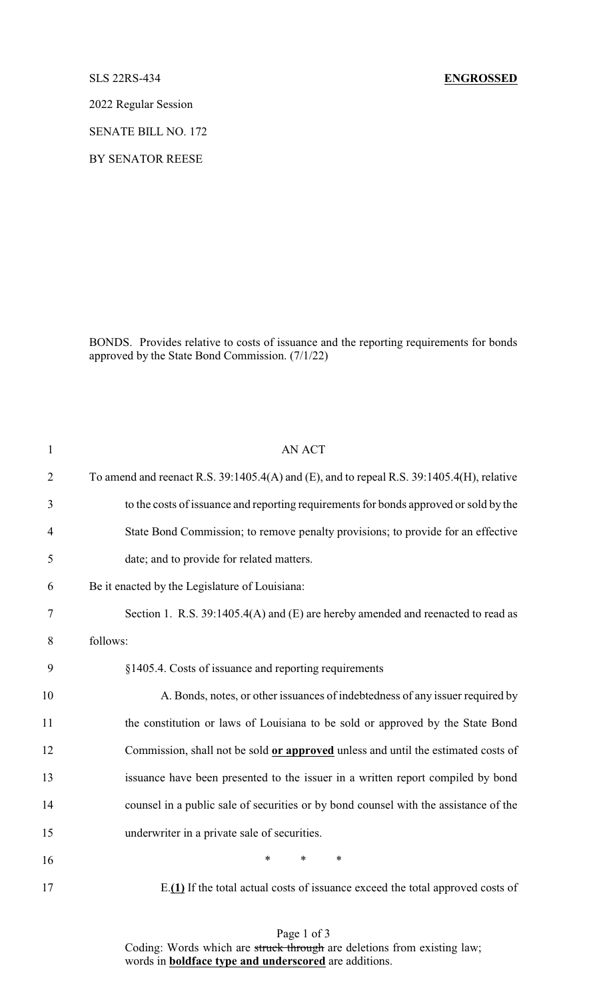## SLS 22RS-434 **ENGROSSED**

2022 Regular Session

SENATE BILL NO. 172

BY SENATOR REESE

BONDS. Provides relative to costs of issuance and the reporting requirements for bonds approved by the State Bond Commission. (7/1/22)

| $\mathbf{1}$   | <b>AN ACT</b>                                                                             |
|----------------|-------------------------------------------------------------------------------------------|
| $\overline{2}$ | To amend and reenact R.S. 39:1405.4(A) and (E), and to repeal R.S. 39:1405.4(H), relative |
| 3              | to the costs of issuance and reporting requirements for bonds approved or sold by the     |
| 4              | State Bond Commission; to remove penalty provisions; to provide for an effective          |
| 5              | date; and to provide for related matters.                                                 |
| 6              | Be it enacted by the Legislature of Louisiana:                                            |
| 7              | Section 1. R.S. 39:1405.4(A) and (E) are hereby amended and reenacted to read as          |
| 8              | follows:                                                                                  |
| 9              | §1405.4. Costs of issuance and reporting requirements                                     |
| 10             | A. Bonds, notes, or other issuances of indebtedness of any issuer required by             |
| 11             | the constitution or laws of Louisiana to be sold or approved by the State Bond            |
| 12             | Commission, shall not be sold or approved unless and until the estimated costs of         |
| 13             | issuance have been presented to the issuer in a written report compiled by bond           |
| 14             | counsel in a public sale of securities or by bond counsel with the assistance of the      |
| 15             | underwriter in a private sale of securities.                                              |
| 16             | $\ast$<br>*<br>$\ast$                                                                     |
| 17             | E.(1) If the total actual costs of issuance exceed the total approved costs of            |

Page 1 of 3 Coding: Words which are struck through are deletions from existing law; words in **boldface type and underscored** are additions.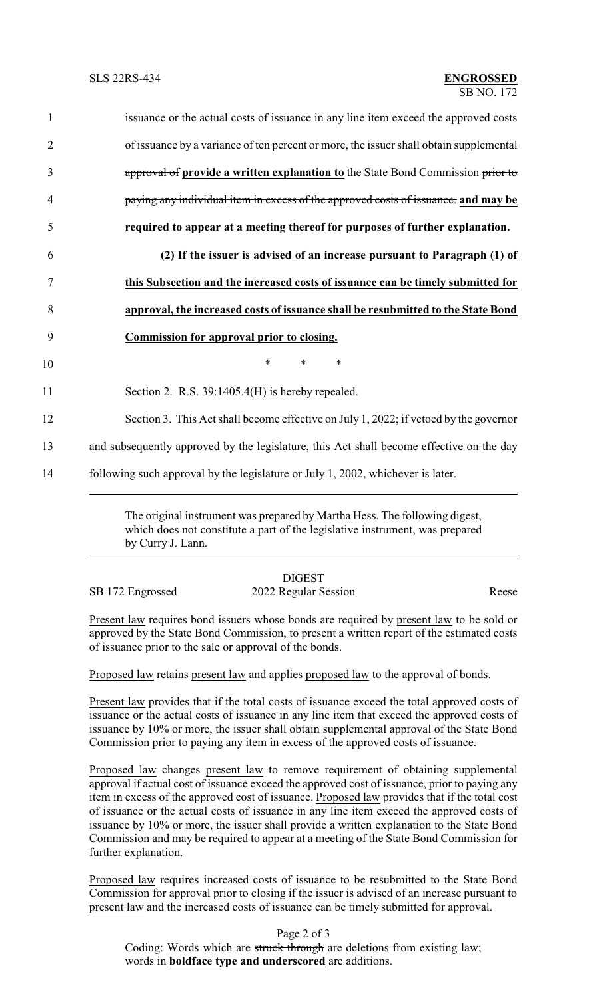| $\mathbf{1}$   | issuance or the actual costs of issuance in any line item exceed the approved costs      |
|----------------|------------------------------------------------------------------------------------------|
| $\overline{2}$ | of issuance by a variance of ten percent or more, the issuer shall obtain supplemental   |
| $\overline{3}$ | approval of provide a written explanation to the State Bond Commission prior to          |
| $\overline{4}$ | paying any individual item in excess of the approved costs of issuance. and may be       |
| 5              | required to appear at a meeting thereof for purposes of further explanation.             |
| 6              | (2) If the issuer is advised of an increase pursuant to Paragraph (1) of                 |
| 7              | this Subsection and the increased costs of issuance can be timely submitted for          |
| 8              | approval, the increased costs of issuance shall be resubmitted to the State Bond         |
| 9              | <b>Commission for approval prior to closing.</b>                                         |
| 10             | $\ast$<br>*<br>$\ast$                                                                    |
| 11             | Section 2. R.S. 39:1405.4(H) is hereby repealed.                                         |
| 12             | Section 3. This Act shall become effective on July 1, 2022; if vetoed by the governor    |
| 13             | and subsequently approved by the legislature, this Act shall become effective on the day |
| 14             | following such approval by the legislature or July 1, 2002, whichever is later.          |

The original instrument was prepared by Martha Hess. The following digest, which does not constitute a part of the legislative instrument, was prepared by Curry J. Lann.

DIGEST SB 172 Engrossed 2022 Regular Session Reese

Present law requires bond issuers whose bonds are required by present law to be sold or approved by the State Bond Commission, to present a written report of the estimated costs of issuance prior to the sale or approval of the bonds.

Proposed law retains present law and applies proposed law to the approval of bonds.

Present law provides that if the total costs of issuance exceed the total approved costs of issuance or the actual costs of issuance in any line item that exceed the approved costs of issuance by 10% or more, the issuer shall obtain supplemental approval of the State Bond Commission prior to paying any item in excess of the approved costs of issuance.

Proposed law changes present law to remove requirement of obtaining supplemental approval if actual cost of issuance exceed the approved cost of issuance, prior to paying any item in excess of the approved cost of issuance. Proposed law provides that if the total cost of issuance or the actual costs of issuance in any line item exceed the approved costs of issuance by 10% or more, the issuer shall provide a written explanation to the State Bond Commission and may be required to appear at a meeting of the State Bond Commission for further explanation.

Proposed law requires increased costs of issuance to be resubmitted to the State Bond Commission for approval prior to closing if the issuer is advised of an increase pursuant to present law and the increased costs of issuance can be timely submitted for approval.

Page 2 of 3 Coding: Words which are struck through are deletions from existing law; words in **boldface type and underscored** are additions.